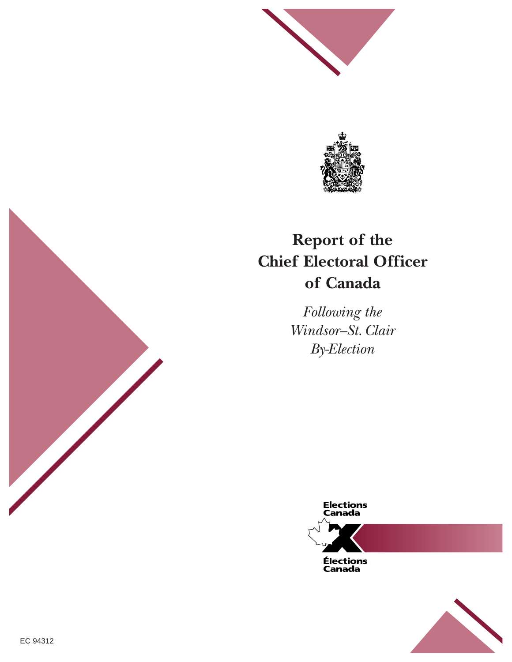



# **Report of the Chief Electoral Officer of Canada**

*Following the Windsor–St.Clair By-Election*





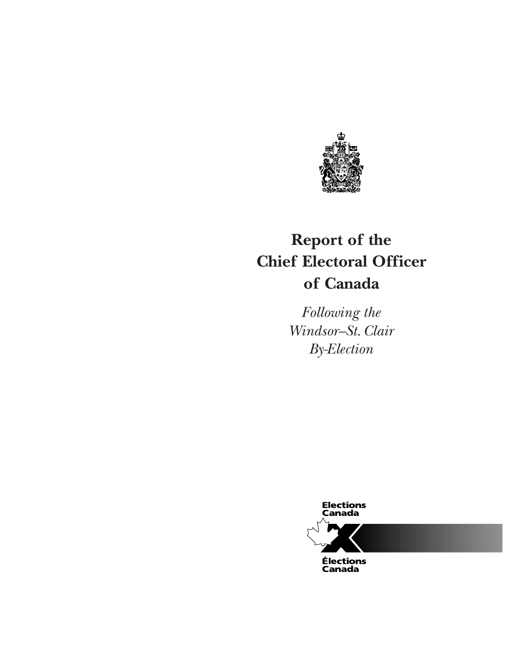

# **Report of the Chief Electoral Officer of Canada**

*Following the Windsor–St. Clair By-Election*

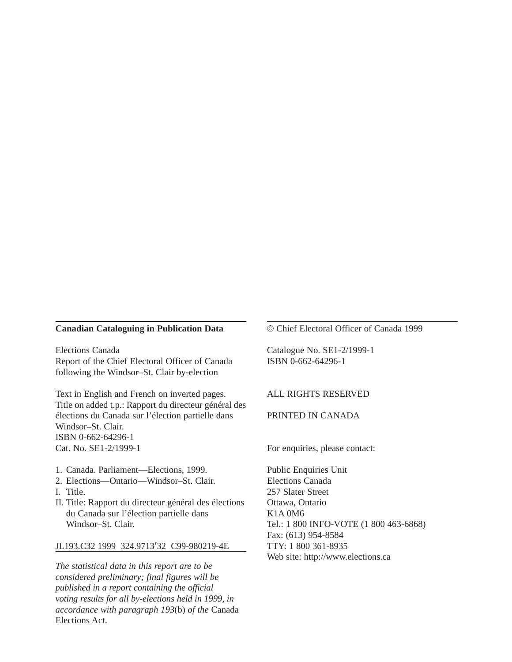#### **Canadian Cataloguing in Publication Data**

Elections Canada Report of the Chief Electoral Officer of Canada following the Windsor–St. Clair by-election

Text in English and French on inverted pages. Title on added t.p.: Rapport du directeur général des élections du Canada sur l'élection partielle dans Windsor–St. Clair. ISBN 0-662-64296-1 Cat. No. SE1-2/1999-1

- 1. Canada. Parliament—Elections, 1999.
- 2. Elections—Ontario—Windsor–St. Clair.
- I. Title.
- II. Title: Rapport du directeur général des élections du Canada sur l'élection partielle dans Windsor–St. Clair.

#### JL193.C32 1999 324.9713'32 C99-980219-4E

*The statistical data in this report are to be considered preliminary; final figures will be published in a report containing the official voting results for all by-elections held in 1999, in accordance with paragraph 193*(b) *of the* Canada Elections Act.

© Chief Electoral Officer of Canada 1999

Catalogue No. SE1-2/1999-1 ISBN 0-662-64296-1

#### ALL RIGHTS RESERVED

#### PRINTED IN CANADA

For enquiries, please contact:

Public Enquiries Unit Elections Canada 257 Slater Street Ottawa, Ontario K1A 0M6 Tel.: 1 800 INFO-VOTE (1 800 463-6868) Fax: (613) 954-8584 TTY: 1 800 361-8935 Web site: http://www.elections.ca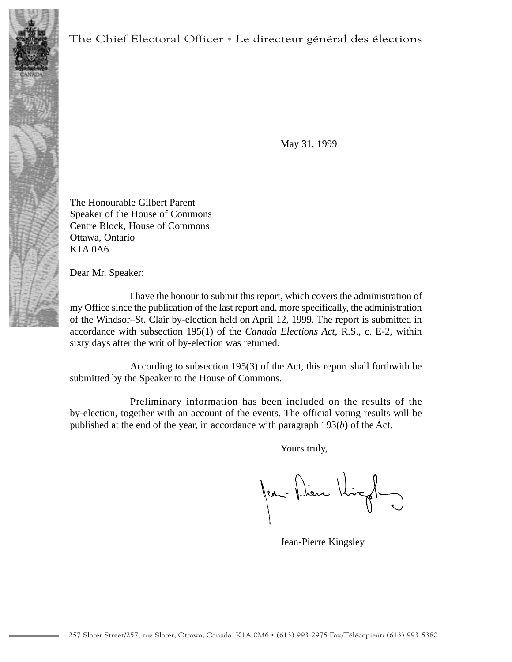

May 31, 1999

The Honourable Gilbert Parent Speaker of the House of Commons Centre Block, House of Commons Ottawa, Ontario K1A 0A6

Dear Mr. Speaker:

I have the honour to submit this report, which covers the administration of my Office since the publication of the last report and, more specifically, the administration of the Windsor–St. Clair by-election held on April 12, 1999. The report is submitted in accordance with subsection 195(1) of the *Canada Elections Act*, R.S., c. E-2, within sixty days after the writ of by-election was returned.

According to subsection 195(3) of the Act, this report shall forthwith be submitted by the Speaker to the House of Commons.

Preliminary information has been included on the results of the by-election, together with an account of the events. The official voting results will be published at the end of the year, in accordance with paragraph 193(*b*) of the Act.

Yours truly,

Jean-Dieu Kingley

Jean-Pierre Kingsley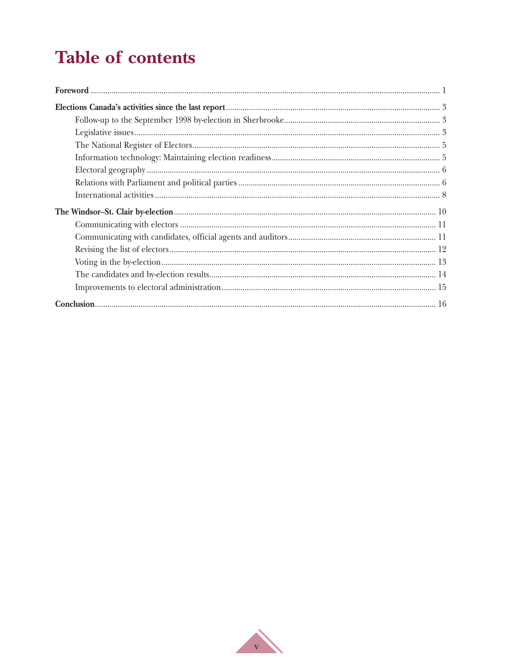# **Table of contents**

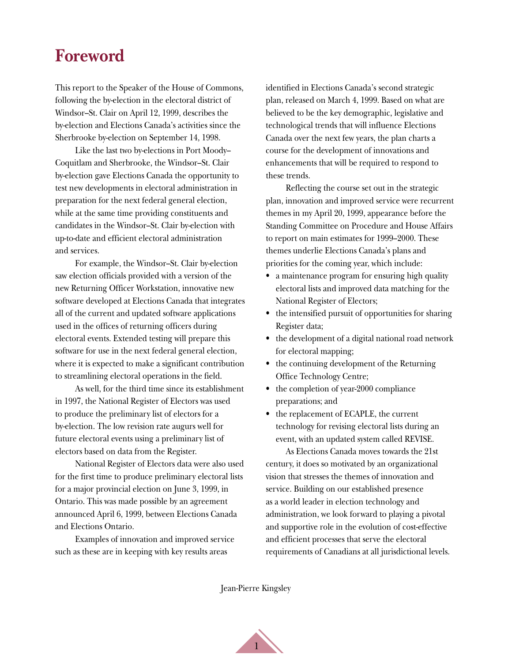# <span id="page-5-0"></span>**Foreword**

This report to the Speaker of the House of Commons, following the by-election in the electoral district of Windsor–St. Clair on April 12, 1999, describes the by-election and Elections Canada's activities since the Sherbrooke by-election on September 14, 1998.

Like the last two by-elections in Port Moody– Coquitlam and Sherbrooke, the Windsor–St. Clair by-election gave Elections Canada the opportunity to test new developments in electoral administration in preparation for the next federal general election, while at the same time providing constituents and candidates in the Windsor–St. Clair by-election with up-to-date and efficient electoral administration and services.

For example, the Windsor–St. Clair by-election saw election officials provided with a version of the new Returning Officer Workstation, innovative new software developed at Elections Canada that integrates all of the current and updated software applications used in the offices of returning officers during electoral events. Extended testing will prepare this software for use in the next federal general election, where it is expected to make a significant contribution to streamlining electoral operations in the field.

As well, for the third time since its establishment in 1997, the National Register of Electors was used to produce the preliminary list of electors for a by-election. The low revision rate augurs well for future electoral events using a preliminary list of electors based on data from the Register.

National Register of Electors data were also used for the first time to produce preliminary electoral lists for a major provincial election on June 3, 1999, in Ontario. This was made possible by an agreement announced April 6, 1999, between Elections Canada and Elections Ontario.

Examples of innovation and improved service such as these are in keeping with key results areas

identified in Elections Canada's second strategic plan, released on March 4, 1999. Based on what are believed to be the key demographic, legislative and technological trends that will influence Elections Canada over the next few years, the plan charts a course for the development of innovations and enhancements that will be required to respond to these trends.

Reflecting the course set out in the strategic plan, innovation and improved service were recurrent themes in my April 20, 1999, appearance before the Standing Committee on Procedure and House Affairs to report on main estimates for 1999–2000. These themes underlie Elections Canada's plans and priorities for the coming year, which include:

- a maintenance program for ensuring high quality electoral lists and improved data matching for the National Register of Electors;
- the intensified pursuit of opportunities for sharing Register data;
- the development of a digital national road network for electoral mapping;
- the continuing development of the Returning Office Technology Centre;
- the completion of year-2000 compliance preparations; and
- the replacement of ECAPLE, the current technology for revising electoral lists during an event, with an updated system called REVISE.

As Elections Canada moves towards the 21st century, it does so motivated by an organizational vision that stresses the themes of innovation and service. Building on our established presence as a world leader in election technology and administration, we look forward to playing a pivotal and supportive role in the evolution of cost-effective and efficient processes that serve the electoral requirements of Canadians at all jurisdictional levels.

Jean-Pierre Kingsley

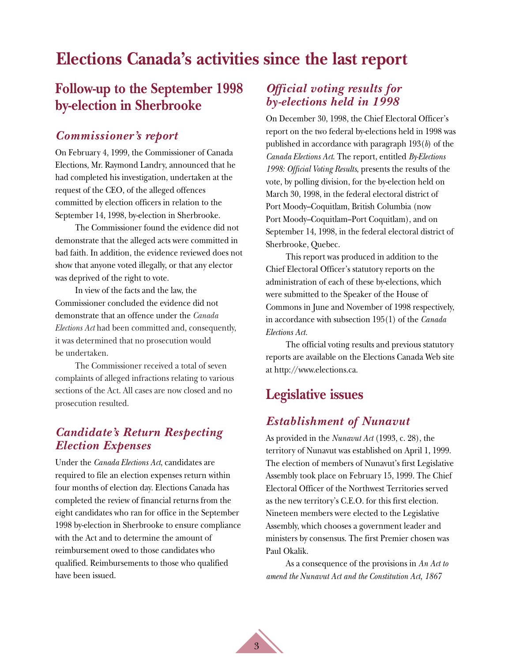# <span id="page-7-0"></span>**Elections Canada's activities since the last report**

## **Follow-up to the September 1998 by-election in Sherbrooke**

#### *Commissioner's report*

On February 4, 1999, the Commissioner of Canada Elections, Mr. Raymond Landry, announced that he had completed his investigation, undertaken at the request of the CEO, of the alleged offences committed by election officers in relation to the September 14, 1998, by-election in Sherbrooke.

The Commissioner found the evidence did not demonstrate that the alleged acts were committed in bad faith. In addition, the evidence reviewed does not show that anyone voted illegally, or that any elector was deprived of the right to vote.

In view of the facts and the law, the Commissioner concluded the evidence did not demonstrate that an offence under the *Canada Elections Act* had been committed and, consequently, it was determined that no prosecution would be undertaken.

The Commissioner received a total of seven complaints of alleged infractions relating to various sections of the Act. All cases are now closed and no prosecution resulted.

### *Candidate's Return Respecting Election Expenses*

Under the *Canada Elections Act*, candidates are required to file an election expenses return within four months of election day. Elections Canada has completed the review of financial returns from the eight candidates who ran for office in the September 1998 by-election in Sherbrooke to ensure compliance with the Act and to determine the amount of reimbursement owed to those candidates who qualified. Reimbursements to those who qualified have been issued.

### *Official voting results for by-elections held in 1998*

On December 30, 1998, the Chief Electoral Officer's report on the two federal by-elections held in 1998 was published in accordance with paragraph 193(*b*) of the *Canada Elections Act*. The report, entitled *By-Elections 1998: Official Voting Results*, presents the results of the vote, by polling division, for the by-election held on March 30, 1998, in the federal electoral district of Port Moody–Coquitlam, British Columbia (now Port Moody–Coquitlam–Port Coquitlam), and on September 14, 1998, in the federal electoral district of Sherbrooke, Quebec.

This report was produced in addition to the Chief Electoral Officer's statutory reports on the administration of each of these by-elections, which were submitted to the Speaker of the House of Commons in June and November of 1998 respectively, in accordance with subsection 195(1) of the *Canada Elections Act.*

The official voting results and previous statutory reports are available on the Elections Canada Web site at http://www.elections.ca.

## **Legislative issues**

#### *Establishment of Nunavut*

As provided in the *Nunavut Act* (1993, c. 28), the territory of Nunavut was established on April 1, 1999. The election of members of Nunavut's first Legislative Assembly took place on February 15, 1999. The Chief Electoral Officer of the Northwest Territories served as the new territory's C.E.O. for this first election. Nineteen members were elected to the Legislative Assembly, which chooses a government leader and ministers by consensus. The first Premier chosen was Paul Okalik.

As a consequence of the provisions in *An Act to amend the Nunavut Act and the Constitution Act, 1867*

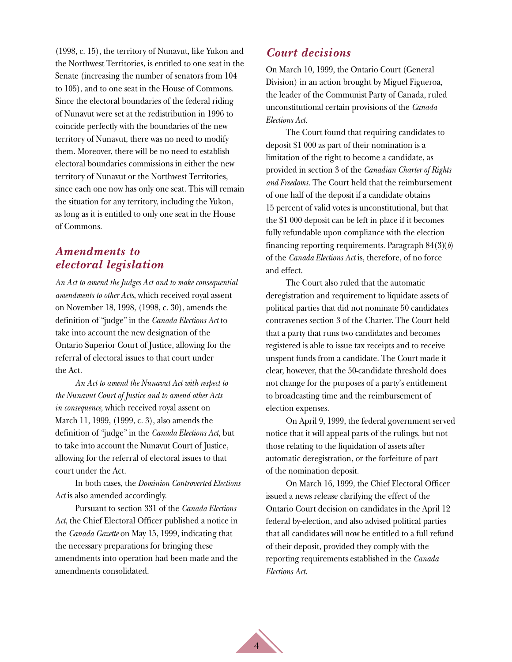(1998, c. 15), the territory of Nunavut, like Yukon and the Northwest Territories, is entitled to one seat in the Senate (increasing the number of senators from 104 to 105), and to one seat in the House of Commons. Since the electoral boundaries of the federal riding of Nunavut were set at the redistribution in 1996 to coincide perfectly with the boundaries of the new territory of Nunavut, there was no need to modify them. Moreover, there will be no need to establish electoral boundaries commissions in either the new territory of Nunavut or the Northwest Territories, since each one now has only one seat. This will remain the situation for any territory, including the Yukon, as long as it is entitled to only one seat in the House of Commons.

#### *Amendments to electoral legislation*

*An Act to amend the Judges Act and to make consequential amendments to other Acts*, which received royal assent on November 18, 1998, (1998, c. 30), amends the definition of "judge" in the *Canada Elections Act* to take into account the new designation of the Ontario Superior Court of Justice, allowing for the referral of electoral issues to that court under the Act.

*An Act to amend the Nunavut Act with respect to the Nunavut Court of Justice and to amend other Acts in consequence*, which received royal assent on March 11, 1999, (1999, c. 3), also amends the definition of "judge" in the *Canada Elections Act*, but to take into account the Nunavut Court of Justice, allowing for the referral of electoral issues to that court under the Act.

In both cases, the *Dominion Controverted Elections Act* is also amended accordingly.

Pursuant to section 331 of the *Canada Elections Act*, the Chief Electoral Officer published a notice in the *Canada Gazette* on May 15, 1999, indicating that the necessary preparations for bringing these amendments into operation had been made and the amendments consolidated.

### *Court decisions*

On March 10, 1999, the Ontario Court (General Division) in an action brought by Miguel Figueroa, the leader of the Communist Party of Canada, ruled unconstitutional certain provisions of the *Canada Elections Act.*

The Court found that requiring candidates to deposit \$1 000 as part of their nomination is a limitation of the right to become a candidate, as provided in section 3 of the *Canadian Charter of Rights and Freedoms.* The Court held that the reimbursement of one half of the deposit if a candidate obtains 15 percent of valid votes is unconstitutional, but that the \$1 000 deposit can be left in place if it becomes fully refundable upon compliance with the election financing reporting requirements. Paragraph 84(3)(*b*) of the *Canada Elections Act* is, therefore, of no force and effect.

The Court also ruled that the automatic deregistration and requirement to liquidate assets of political parties that did not nominate 50 candidates contravenes section 3 of the Charter. The Court held that a party that runs two candidates and becomes registered is able to issue tax receipts and to receive unspent funds from a candidate. The Court made it clear, however, that the 50-candidate threshold does not change for the purposes of a party's entitlement to broadcasting time and the reimbursement of election expenses.

On April 9, 1999, the federal government served notice that it will appeal parts of the rulings, but not those relating to the liquidation of assets after automatic deregistration, or the forfeiture of part of the nomination deposit.

On March 16, 1999, the Chief Electoral Officer issued a news release clarifying the effect of the Ontario Court decision on candidates in the April 12 federal by-election, and also advised political parties that all candidates will now be entitled to a full refund of their deposit, provided they comply with the reporting requirements established in the *Canada Elections Act.*

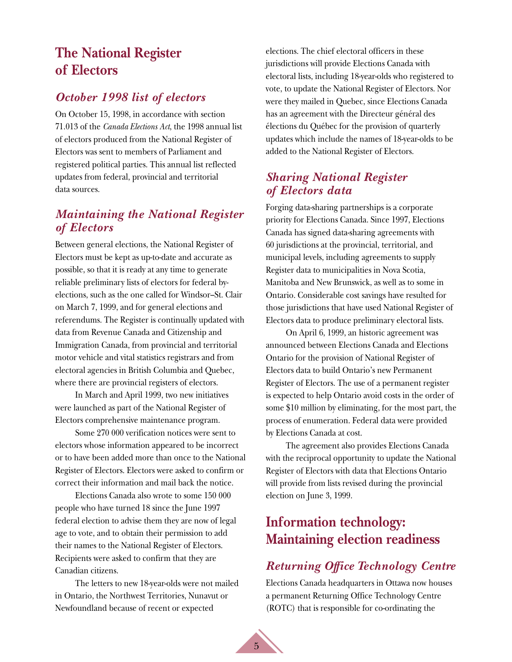# <span id="page-9-0"></span>**The National Register of Electors**

### *October 1998 list of electors*

On October 15, 1998, in accordance with section 71.013 of the *Canada Elections Act*, the 1998 annual list of electors produced from the National Register of Electors was sent to members of Parliament and registered political parties. This annual list reflected updates from federal, provincial and territorial data sources.

## *Maintaining the National Register of Electors*

Between general elections, the National Register of Electors must be kept as up-to-date and accurate as possible, so that it is ready at any time to generate reliable preliminary lists of electors for federal byelections, such as the one called for Windsor–St. Clair on March 7, 1999, and for general elections and referendums. The Register is continually updated with data from Revenue Canada and Citizenship and Immigration Canada, from provincial and territorial motor vehicle and vital statistics registrars and from electoral agencies in British Columbia and Quebec, where there are provincial registers of electors.

In March and April 1999, two new initiatives were launched as part of the National Register of Electors comprehensive maintenance program.

Some 270 000 verification notices were sent to electors whose information appeared to be incorrect or to have been added more than once to the National Register of Electors. Electors were asked to confirm or correct their information and mail back the notice.

Elections Canada also wrote to some 150 000 people who have turned 18 since the June 1997 federal election to advise them they are now of legal age to vote, and to obtain their permission to add their names to the National Register of Electors. Recipients were asked to confirm that they are Canadian citizens.

The letters to new 18-year-olds were not mailed in Ontario, the Northwest Territories, Nunavut or Newfoundland because of recent or expected

elections. The chief electoral officers in these jurisdictions will provide Elections Canada with electoral lists, including 18-year-olds who registered to vote, to update the National Register of Electors. Nor were they mailed in Quebec, since Elections Canada has an agreement with the Directeur général des élections du Québec for the provision of quarterly updates which include the names of 18-year-olds to be added to the National Register of Electors.

### *Sharing National Register of Electors data*

Forging data-sharing partnerships is a corporate priority for Elections Canada. Since 1997, Elections Canada has signed data-sharing agreements with 60 jurisdictions at the provincial, territorial, and municipal levels, including agreements to supply Register data to municipalities in Nova Scotia, Manitoba and New Brunswick, as well as to some in Ontario. Considerable cost savings have resulted for those jurisdictions that have used National Register of Electors data to produce preliminary electoral lists.

On April 6, 1999, an historic agreement was announced between Elections Canada and Elections Ontario for the provision of National Register of Electors data to build Ontario's new Permanent Register of Electors. The use of a permanent register is expected to help Ontario avoid costs in the order of some \$10 million by eliminating, for the most part, the process of enumeration. Federal data were provided by Elections Canada at cost.

The agreement also provides Elections Canada with the reciprocal opportunity to update the National Register of Electors with data that Elections Ontario will provide from lists revised during the provincial election on June 3, 1999.

# **Information technology: Maintaining election readiness**

## *Returning Office Technology Centre*

Elections Canada headquarters in Ottawa now houses a permanent Returning Office Technology Centre (ROTC) that is responsible for co-ordinating the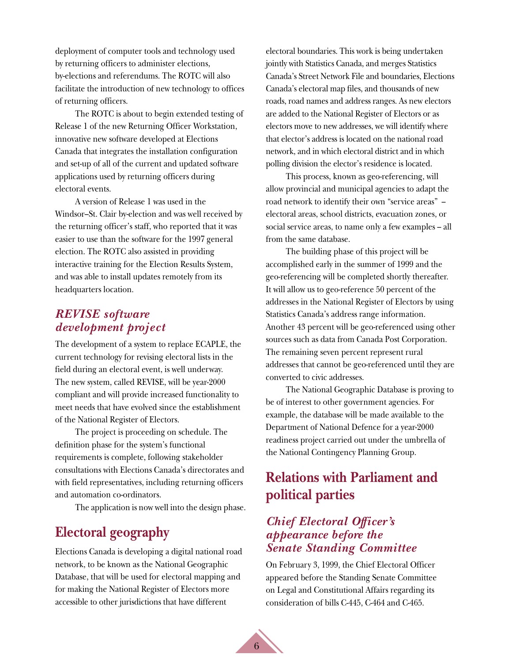<span id="page-10-0"></span>deployment of computer tools and technology used by returning officers to administer elections, by-elections and referendums. The ROTC will also facilitate the introduction of new technology to offices of returning officers.

The ROTC is about to begin extended testing of Release 1 of the new Returning Officer Workstation, innovative new software developed at Elections Canada that integrates the installation configuration and set-up of all of the current and updated software applications used by returning officers during electoral events.

A version of Release 1 was used in the Windsor–St. Clair by-election and was well received by the returning officer's staff, who reported that it was easier to use than the software for the 1997 general election. The ROTC also assisted in providing interactive training for the Election Results System, and was able to install updates remotely from its headquarters location.

#### *REVISE software development project*

The development of a system to replace ECAPLE, the current technology for revising electoral lists in the field during an electoral event, is well underway. The new system, called REVISE, will be year-2000 compliant and will provide increased functionality to meet needs that have evolved since the establishment of the National Register of Electors.

The project is proceeding on schedule. The definition phase for the system's functional requirements is complete, following stakeholder consultations with Elections Canada's directorates and with field representatives, including returning officers and automation co-ordinators.

The application is now well into the design phase.

## **Electoral geography**

Elections Canada is developing a digital national road network, to be known as the National Geographic Database, that will be used for electoral mapping and for making the National Register of Electors more accessible to other jurisdictions that have different

electoral boundaries. This work is being undertaken jointly with Statistics Canada, and merges Statistics Canada's Street Network File and boundaries, Elections Canada's electoral map files, and thousands of new roads, road names and address ranges. As new electors are added to the National Register of Electors or as electors move to new addresses, we will identify where that elector's address is located on the national road network, and in which electoral district and in which polling division the elector's residence is located.

This process, known as geo-referencing, will allow provincial and municipal agencies to adapt the road network to identify their own "service areas" – electoral areas, school districts, evacuation zones, or social service areas, to name only a few examples – all from the same database.

The building phase of this project will be accomplished early in the summer of 1999 and the geo-referencing will be completed shortly thereafter. It will allow us to geo-reference 50 percent of the addresses in the National Register of Electors by using Statistics Canada's address range information. Another 43 percent will be geo-referenced using other sources such as data from Canada Post Corporation. The remaining seven percent represent rural addresses that cannot be geo-referenced until they are converted to civic addresses.

The National Geographic Database is proving to be of interest to other government agencies. For example, the database will be made available to the Department of National Defence for a year-2000 readiness project carried out under the umbrella of the National Contingency Planning Group.

# **Relations with Parliament and political parties**

### *Chief Electoral Officer's appearance before the Senate Standing Committee*

On February 3, 1999, the Chief Electoral Officer appeared before the Standing Senate Committee on Legal and Constitutional Affairs regarding its consideration of bills C-445, C-464 and C-465.

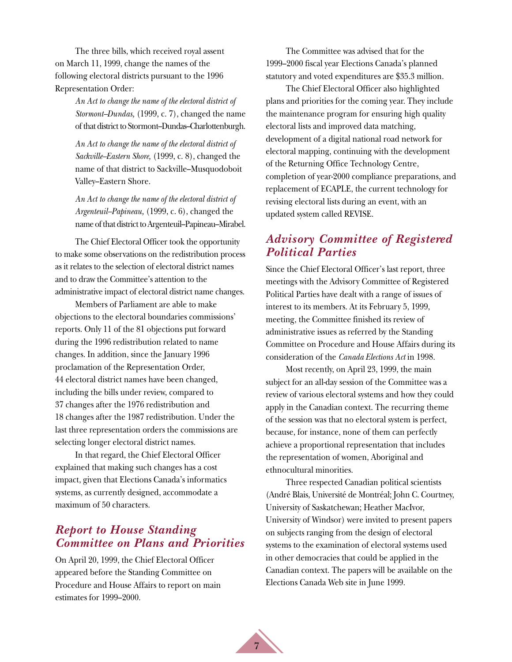The three bills, which received royal assent on March 11, 1999, change the names of the following electoral districts pursuant to the 1996 Representation Order:

> *An Act to change the name of the electoral district of Stormont–Dundas,* (1999, c. 7), changed the name of that district to Stormont–Dundas–Charlottenburgh.

*An Act to change the name of the electoral district of Sackville–Eastern Shore,* (1999, c. 8), changed the name of that district to Sackville–Musquodoboit Valley–Eastern Shore.

*An Act to change the name of the electoral district of Argenteuil–Papineau,* (1999, c. 6), changed the name of that district to Argenteuil–Papineau–Mirabel.

The Chief Electoral Officer took the opportunity to make some observations on the redistribution process as it relates to the selection of electoral district names and to draw the Committee's attention to the administrative impact of electoral district name changes.

Members of Parliament are able to make objections to the electoral boundaries commissions' reports. Only 11 of the 81 objections put forward during the 1996 redistribution related to name changes. In addition, since the January 1996 proclamation of the Representation Order, 44 electoral district names have been changed, including the bills under review, compared to 37 changes after the 1976 redistribution and 18 changes after the 1987 redistribution. Under the last three representation orders the commissions are selecting longer electoral district names.

In that regard, the Chief Electoral Officer explained that making such changes has a cost impact, given that Elections Canada's informatics systems, as currently designed, accommodate a maximum of 50 characters.

### *Report to House Standing Committee on Plans and Priorities*

On April 20, 1999, the Chief Electoral Officer appeared before the Standing Committee on Procedure and House Affairs to report on main estimates for 1999–2000.

The Committee was advised that for the 1999–2000 fiscal year Elections Canada's planned statutory and voted expenditures are \$35.3 million.

The Chief Electoral Officer also highlighted plans and priorities for the coming year. They include the maintenance program for ensuring high quality electoral lists and improved data matching, development of a digital national road network for electoral mapping, continuing with the development of the Returning Office Technology Centre, completion of year-2000 compliance preparations, and replacement of ECAPLE, the current technology for revising electoral lists during an event, with an updated system called REVISE.

## *Advisory Committee of Registered Political Parties*

Since the Chief Electoral Officer's last report, three meetings with the Advisory Committee of Registered Political Parties have dealt with a range of issues of interest to its members. At its February 5, 1999, meeting, the Committee finished its review of administrative issues as referred by the Standing Committee on Procedure and House Affairs during its consideration of the *Canada Elections Act* in 1998.

Most recently, on April 23, 1999, the main subject for an all-day session of the Committee was a review of various electoral systems and how they could apply in the Canadian context. The recurring theme of the session was that no electoral system is perfect, because, for instance, none of them can perfectly achieve a proportional representation that includes the representation of women, Aboriginal and ethnocultural minorities.

Three respected Canadian political scientists (André Blais, Université de Montréal; John C. Courtney, University of Saskatchewan; Heather MacIvor, University of Windsor) were invited to present papers on subjects ranging from the design of electoral systems to the examination of electoral systems used in other democracies that could be applied in the Canadian context. The papers will be available on the Elections Canada Web site in June 1999.

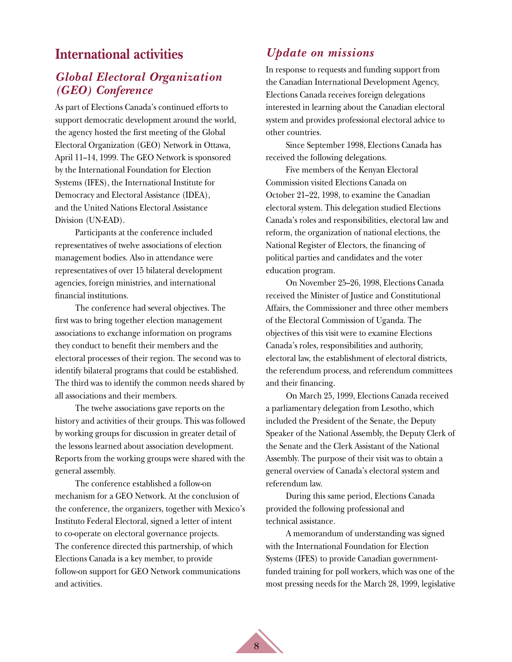## <span id="page-12-0"></span>**International activities**

## *Global Electoral Organization (GEO) Conference*

As part of Elections Canada's continued efforts to support democratic development around the world, the agency hosted the first meeting of the Global Electoral Organization (GEO) Network in Ottawa, April 11–14, 1999. The GEO Network is sponsored by the International Foundation for Election Systems (IFES), the International Institute for Democracy and Electoral Assistance (IDEA), and the United Nations Electoral Assistance Division (UN-EAD).

Participants at the conference included representatives of twelve associations of election management bodies. Also in attendance were representatives of over 15 bilateral development agencies, foreign ministries, and international financial institutions.

The conference had several objectives. The first was to bring together election management associations to exchange information on programs they conduct to benefit their members and the electoral processes of their region. The second was to identify bilateral programs that could be established. The third was to identify the common needs shared by all associations and their members.

The twelve associations gave reports on the history and activities of their groups. This was followed by working groups for discussion in greater detail of the lessons learned about association development. Reports from the working groups were shared with the general assembly.

The conference established a follow-on mechanism for a GEO Network. At the conclusion of the conference, the organizers, together with Mexico's Instituto Federal Electoral, signed a letter of intent to co-operate on electoral governance projects. The conference directed this partnership, of which Elections Canada is a key member, to provide follow-on support for GEO Network communications and activities.

#### *Update on missions*

In response to requests and funding support from the Canadian International Development Agency, Elections Canada receives foreign delegations interested in learning about the Canadian electoral system and provides professional electoral advice to other countries.

Since September 1998, Elections Canada has received the following delegations.

Five members of the Kenyan Electoral Commission visited Elections Canada on October 21–22, 1998, to examine the Canadian electoral system. This delegation studied Elections Canada's roles and responsibilities, electoral law and reform, the organization of national elections, the National Register of Electors, the financing of political parties and candidates and the voter education program.

On November 25–26, 1998, Elections Canada received the Minister of Justice and Constitutional Affairs, the Commissioner and three other members of the Electoral Commission of Uganda. The objectives of this visit were to examine Elections Canada's roles, responsibilities and authority, electoral law, the establishment of electoral districts, the referendum process, and referendum committees and their financing.

On March 25, 1999, Elections Canada received a parliamentary delegation from Lesotho, which included the President of the Senate, the Deputy Speaker of the National Assembly, the Deputy Clerk of the Senate and the Clerk Assistant of the National Assembly. The purpose of their visit was to obtain a general overview of Canada's electoral system and referendum law.

During this same period, Elections Canada provided the following professional and technical assistance.

A memorandum of understanding was signed with the International Foundation for Election Systems (IFES) to provide Canadian governmentfunded training for poll workers, which was one of the most pressing needs for the March 28, 1999, legislative

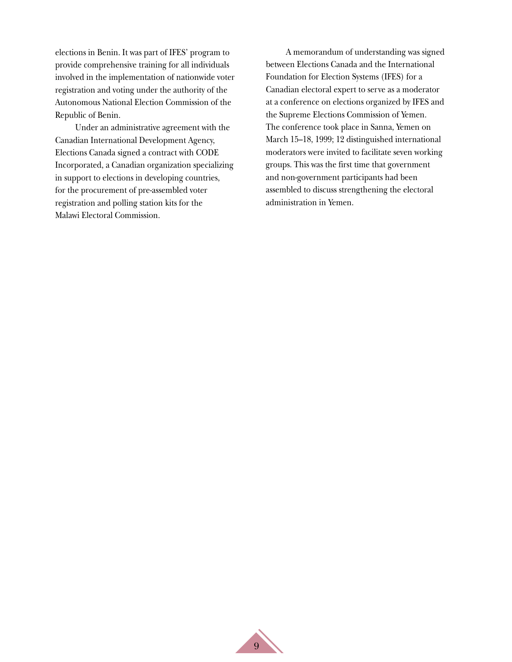elections in Benin. It was part of IFES' program to provide comprehensive training for all individuals involved in the implementation of nationwide voter registration and voting under the authority of the Autonomous National Election Commission of the Republic of Benin.

Under an administrative agreement with the Canadian International Development Agency, Elections Canada signed a contract with CODE Incorporated, a Canadian organization specializing in support to elections in developing countries, for the procurement of pre-assembled voter registration and polling station kits for the Malawi Electoral Commission.

A memorandum of understanding was signed between Elections Canada and the International Foundation for Election Systems (IFES) for a Canadian electoral expert to serve as a moderator at a conference on elections organized by IFES and the Supreme Elections Commission of Yemen. The conference took place in Sanna, Yemen on March 15–18, 1999; 12 distinguished international moderators were invited to facilitate seven working groups. This was the first time that government and non-government participants had been assembled to discuss strengthening the electoral administration in Yemen.

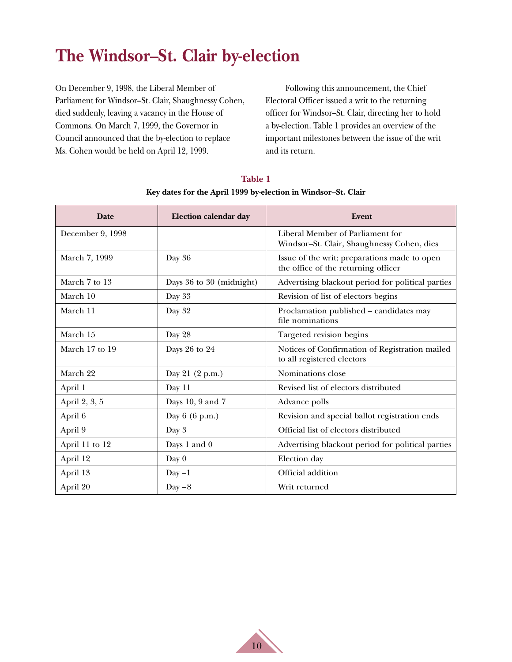# <span id="page-14-0"></span>**The Windsor–St. Clair by-election**

On December 9, 1998, the Liberal Member of Parliament for Windsor–St. Clair, Shaughnessy Cohen, died suddenly, leaving a vacancy in the House of Commons. On March 7, 1999, the Governor in Council announced that the by-election to replace Ms. Cohen would be held on April 12, 1999.

Following this announcement, the Chief Electoral Officer issued a writ to the returning officer for Windsor–St. Clair, directing her to hold a by-election. Table 1 provides an overview of the important milestones between the issue of the writ and its return.

| <b>Date</b>      | <b>Election calendar day</b> | Event                                                                               |
|------------------|------------------------------|-------------------------------------------------------------------------------------|
| December 9, 1998 |                              | Liberal Member of Parliament for<br>Windsor-St. Clair, Shaughnessy Cohen, dies      |
| March 7, 1999    | Day 36                       | Issue of the writ; preparations made to open<br>the office of the returning officer |
| March 7 to 13    | Days 36 to 30 (midnight)     | Advertising blackout period for political parties                                   |
| March 10         | Day 33                       | Revision of list of electors begins                                                 |
| March 11         | Day 32                       | Proclamation published - candidates may<br>file nominations                         |
| March 15         | Day 28                       | Targeted revision begins                                                            |
| March 17 to 19   | Days 26 to 24                | Notices of Confirmation of Registration mailed<br>to all registered electors        |
| March 22         | Day 21 (2 p.m.)              | Nominations close                                                                   |
| April 1          | Day 11                       | Revised list of electors distributed                                                |
| April 2, 3, 5    | Days 10, 9 and 7             | Advance polls                                                                       |
| April 6          | Day 6 (6 p.m.)               | Revision and special ballot registration ends                                       |
| April 9          | Day 3                        | Official list of electors distributed                                               |
| April 11 to 12   | Days 1 and 0                 | Advertising blackout period for political parties                                   |
| April 12         | Day $0$                      | Election day                                                                        |
| April 13         | $Day -1$                     | Official addition                                                                   |
| April 20         | $Day - 8$                    | Writ returned                                                                       |

**Table 1 Key dates for the April 1999 by-election in Windsor–St. Clair**

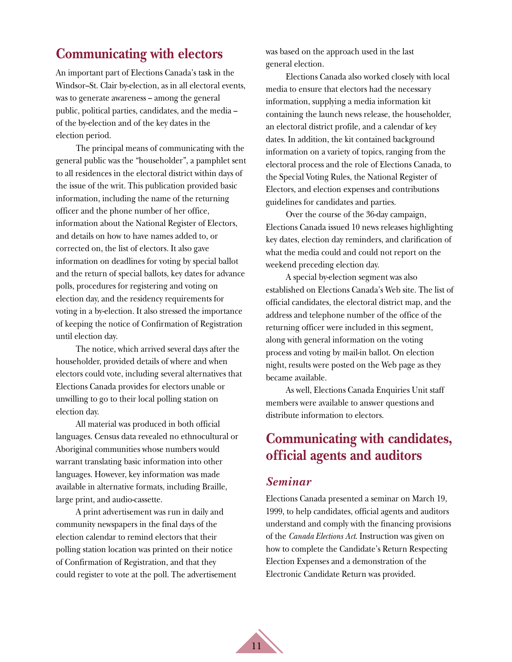## <span id="page-15-0"></span>**Communicating with electors**

An important part of Elections Canada's task in the Windsor–St. Clair by-election, as in all electoral events, was to generate awareness – among the general public, political parties, candidates, and the media – of the by-election and of the key dates in the election period.

The principal means of communicating with the general public was the "householder", a pamphlet sent to all residences in the electoral district within days of the issue of the writ. This publication provided basic information, including the name of the returning officer and the phone number of her office, information about the National Register of Electors, and details on how to have names added to, or corrected on, the list of electors. It also gave information on deadlines for voting by special ballot and the return of special ballots, key dates for advance polls, procedures for registering and voting on election day, and the residency requirements for voting in a by-election. It also stressed the importance of keeping the notice of Confirmation of Registration until election day.

The notice, which arrived several days after the householder, provided details of where and when electors could vote, including several alternatives that Elections Canada provides for electors unable or unwilling to go to their local polling station on election day.

All material was produced in both official languages. Census data revealed no ethnocultural or Aboriginal communities whose numbers would warrant translating basic information into other languages. However, key information was made available in alternative formats, including Braille, large print, and audio-cassette.

A print advertisement was run in daily and community newspapers in the final days of the election calendar to remind electors that their polling station location was printed on their notice of Confirmation of Registration, and that they could register to vote at the poll. The advertisement was based on the approach used in the last general election.

Elections Canada also worked closely with local media to ensure that electors had the necessary information, supplying a media information kit containing the launch news release, the householder, an electoral district profile, and a calendar of key dates. In addition, the kit contained background information on a variety of topics, ranging from the electoral process and the role of Elections Canada, to the Special Voting Rules, the National Register of Electors, and election expenses and contributions guidelines for candidates and parties.

Over the course of the 36-day campaign, Elections Canada issued 10 news releases highlighting key dates, election day reminders, and clarification of what the media could and could not report on the weekend preceding election day.

A special by-election segment was also established on Elections Canada's Web site. The list of official candidates, the electoral district map, and the address and telephone number of the office of the returning officer were included in this segment, along with general information on the voting process and voting by mail-in ballot. On election night, results were posted on the Web page as they became available.

As well, Elections Canada Enquiries Unit staff members were available to answer questions and distribute information to electors.

## **Communicating with candidates, official agents and auditors**

#### *Seminar*

Elections Canada presented a seminar on March 19, 1999, to help candidates, official agents and auditors understand and comply with the financing provisions of the *Canada Elections Act*. Instruction was given on how to complete the Candidate's Return Respecting Election Expenses and a demonstration of the Electronic Candidate Return was provided.

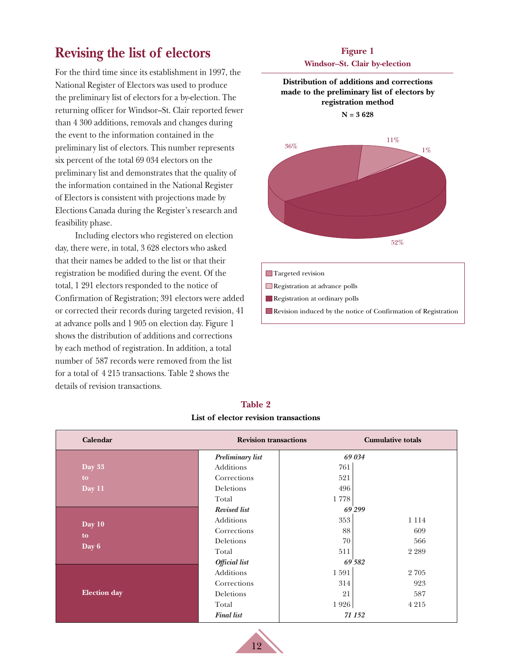# <span id="page-16-0"></span>**Revising the list of electors**

For the third time since its establishment in 1997, the National Register of Electors was used to produce the preliminary list of electors for a by-election. The returning officer for Windsor–St. Clair reported fewer than 4 300 additions, removals and changes during the event to the information contained in the preliminary list of electors. This number represents six percent of the total 69 034 electors on the preliminary list and demonstrates that the quality of the information contained in the National Register of Electors is consistent with projections made by Elections Canada during the Register's research and feasibility phase.

Including electors who registered on election day, there were, in total, 3 628 electors who asked that their names be added to the list or that their registration be modified during the event. Of the total, 1 291 electors responded to the notice of Confirmation of Registration; 391 electors were added or corrected their records during targeted revision, 41 at advance polls and 1 905 on election day. Figure 1 shows the distribution of additions and corrections by each method of registration. In addition, a total number of 587 records were removed from the list for a total of 4 215 transactions. Table 2 shows the details of revision transactions.

#### **Figure 1 Windsor–St. Clair by-election**



| Calendar            | <b>Revision transactions</b> |          | <b>Cumulative totals</b> |  |  |
|---------------------|------------------------------|----------|--------------------------|--|--|
|                     | Preliminary list             |          | 69 034                   |  |  |
| Day 33              | Additions                    | 761      |                          |  |  |
| to                  | Corrections                  | 521      |                          |  |  |
| Day 11              | Deletions                    | 496      |                          |  |  |
|                     | Total                        | 1778     |                          |  |  |
|                     | Revised list                 |          | 69 299                   |  |  |
| Day 10              | Additions                    | 353      | 1 1 1 4                  |  |  |
|                     | Corrections                  | 88       | 609                      |  |  |
| to<br>Day 6         | Deletions                    | 70       | 566                      |  |  |
|                     | Total                        | 511      | 2 2 8 9                  |  |  |
|                     | <b>Official</b> list         |          | 69 582                   |  |  |
|                     | Additions                    | $1\,591$ | 2705                     |  |  |
|                     | Corrections                  | 314      | 923                      |  |  |
| <b>Election</b> day | Deletions                    | 21       | 587                      |  |  |
|                     | Total                        | 1926     | 4 2 1 5                  |  |  |
|                     | <b>Final list</b>            |          | 71 152                   |  |  |

#### **Table 2 List of elector revision transactions**

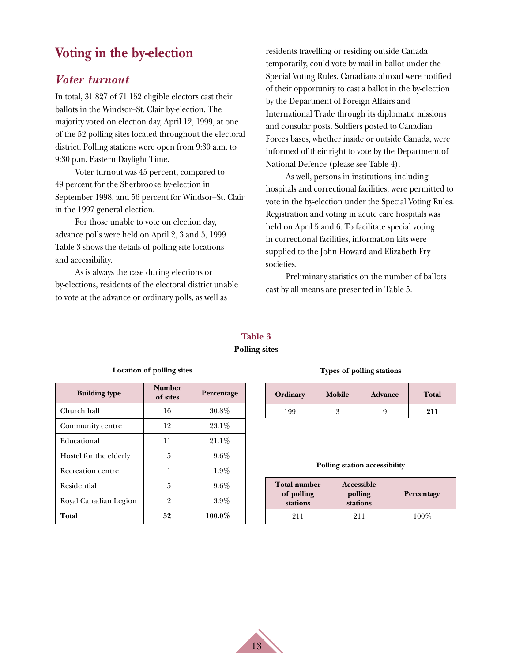## <span id="page-17-0"></span>**Voting in the by-election**

#### *Voter turnout*

In total, 31 827 of 71 152 eligible electors cast their ballots in the Windsor–St. Clair by-election. The majority voted on election day, April 12, 1999, at one of the 52 polling sites located throughout the electoral district. Polling stations were open from 9:30 a.m. to 9:30 p.m. Eastern Daylight Time.

Voter turnout was 45 percent, compared to 49 percent for the Sherbrooke by-election in September 1998, and 56 percent for Windsor–St. Clair in the 1997 general election.

For those unable to vote on election day, advance polls were held on April 2, 3 and 5, 1999. Table 3 shows the details of polling site locations and accessibility.

As is always the case during elections or by-elections, residents of the electoral district unable to vote at the advance or ordinary polls, as well as

residents travelling or residing outside Canada temporarily, could vote by mail-in ballot under the Special Voting Rules. Canadians abroad were notified of their opportunity to cast a ballot in the by-election by the Department of Foreign Affairs and International Trade through its diplomatic missions and consular posts. Soldiers posted to Canadian Forces bases, whether inside or outside Canada, were informed of their right to vote by the Department of National Defence (please see Table 4).

As well, persons in institutions, including hospitals and correctional facilities, were permitted to vote in the by-election under the Special Voting Rules. Registration and voting in acute care hospitals was held on April 5 and 6. To facilitate special voting in correctional facilities, information kits were supplied to the John Howard and Elizabeth Fry societies.

Preliminary statistics on the number of ballots cast by all means are presented in Table 5.

## **Table 3**

#### **Polling sites**

13

| <b>Building type</b>   | <b>Number</b><br>of sites | Percentage |
|------------------------|---------------------------|------------|
| Church hall            | 16                        | $30.8\%$   |
| Community centre       | 12                        | $23.1\%$   |
| Educational            | 11                        | $21.1\%$   |
| Hostel for the elderly | 5                         | $9.6\%$    |
| Recreation centre      | 1                         | $1.9\%$    |
| Residential            | 5                         | $9.6\%$    |
| Royal Canadian Legion  | 2                         | $3.9\%$    |
| Total                  | 52                        | 100.0%     |

**Location of polling sites**

#### **Types of polling stations**

| Ordinary | Mobile | <b>Advance</b> | <b>Total</b> |  |
|----------|--------|----------------|--------------|--|
| 99       |        |                | 911          |  |

#### **Polling station accessibility**

| <b>Total number</b><br>of polling<br>stations | Accessible<br>polling<br>stations | Percentage |
|-----------------------------------------------|-----------------------------------|------------|
| 911                                           | 911                               | $100\%$    |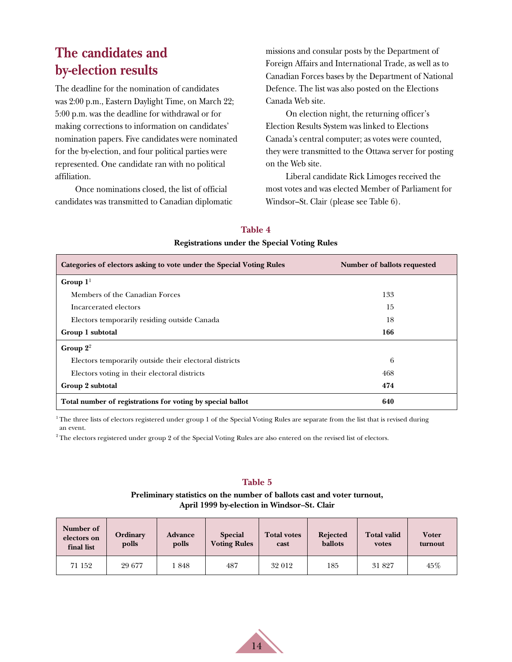# <span id="page-18-0"></span>**The candidates and by-election results**

The deadline for the nomination of candidates was 2:00 p.m., Eastern Daylight Time, on March 22; 5:00 p.m. was the deadline for withdrawal or for making corrections to information on candidates' nomination papers. Five candidates were nominated for the by-election, and four political parties were represented. One candidate ran with no political affiliation.

Once nominations closed, the list of official candidates was transmitted to Canadian diplomatic missions and consular posts by the Department of Foreign Affairs and International Trade, as well as to Canadian Forces bases by the Department of National Defence. The list was also posted on the Elections Canada Web site.

On election night, the returning officer's Election Results System was linked to Elections Canada's central computer; as votes were counted, they were transmitted to the Ottawa server for posting on the Web site.

Liberal candidate Rick Limoges received the most votes and was elected Member of Parliament for Windsor–St. Clair (please see Table 6).

| Registrations under the opecial volting runes                        |                             |  |  |  |  |
|----------------------------------------------------------------------|-----------------------------|--|--|--|--|
| Categories of electors asking to vote under the Special Voting Rules | Number of ballots requested |  |  |  |  |
| Group $11$                                                           |                             |  |  |  |  |
| Members of the Canadian Forces                                       | 133                         |  |  |  |  |
| Incarcerated electors                                                | 15                          |  |  |  |  |
| Electors temporarily residing outside Canada                         | 18                          |  |  |  |  |
| Group 1 subtotal                                                     | 166                         |  |  |  |  |
| Group $2^2$                                                          |                             |  |  |  |  |
| Electors temporarily outside their electoral districts               | 6                           |  |  |  |  |
| Electors voting in their electoral districts                         | 468                         |  |  |  |  |
| Group 2 subtotal                                                     | 474                         |  |  |  |  |
| Total number of registrations for voting by special ballot           | 640                         |  |  |  |  |

#### **Table 4 Registrations under the Special Voting Rules**

 $1$ <sup>1</sup> The three lists of electors registered under group 1 of the Special Voting Rules are separate from the list that is revised during an event.

<sup>2</sup> The electors registered under group 2 of the Special Voting Rules are also entered on the revised list of electors.

#### **Table 5**

**Preliminary statistics on the number of ballots cast and voter turnout, April 1999 by-election in Windsor–St. Clair**

| Number of<br>electors on<br>final list | Ordinary<br>polls | <b>Advance</b><br>polls | <b>Special</b><br><b>Voting Rules</b> | <b>Total votes</b><br>cast | <b>Rejected</b><br>ballots | <b>Total valid</b><br>votes | <b>Voter</b><br>turnout |
|----------------------------------------|-------------------|-------------------------|---------------------------------------|----------------------------|----------------------------|-----------------------------|-------------------------|
| 71 152                                 | 29 677            | 1848                    | 487                                   | 32 012                     | 185                        | 31 827                      | 45%                     |

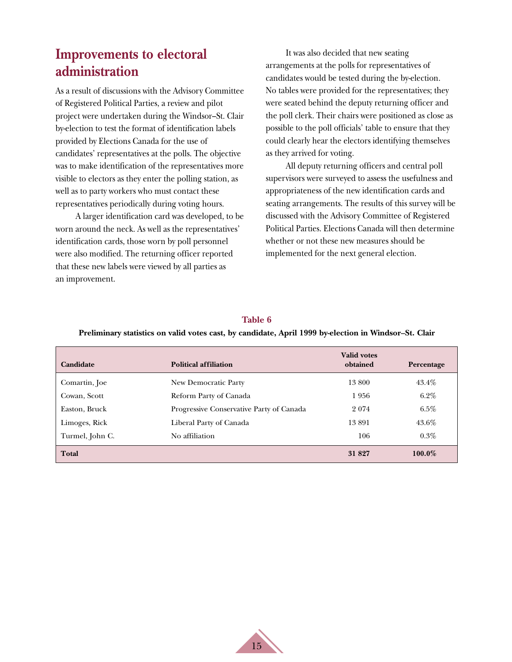# <span id="page-19-0"></span>**Improvements to electoral administration**

As a result of discussions with the Advisory Committee of Registered Political Parties, a review and pilot project were undertaken during the Windsor–St. Clair by-election to test the format of identification labels provided by Elections Canada for the use of candidates' representatives at the polls. The objective was to make identification of the representatives more visible to electors as they enter the polling station, as well as to party workers who must contact these representatives periodically during voting hours.

A larger identification card was developed, to be worn around the neck. As well as the representatives' identification cards, those worn by poll personnel were also modified. The returning officer reported that these new labels were viewed by all parties as an improvement.

It was also decided that new seating arrangements at the polls for representatives of candidates would be tested during the by-election. No tables were provided for the representatives; they were seated behind the deputy returning officer and the poll clerk. Their chairs were positioned as close as possible to the poll officials' table to ensure that they could clearly hear the electors identifying themselves as they arrived for voting.

All deputy returning officers and central poll supervisors were surveyed to assess the usefulness and appropriateness of the new identification cards and seating arrangements. The results of this survey will be discussed with the Advisory Committee of Registered Political Parties. Elections Canada will then determine whether or not these new measures should be implemented for the next general election.

| Candidate       | <b>Political affiliation</b>             | <b>Valid votes</b><br>obtained | Percentage |
|-----------------|------------------------------------------|--------------------------------|------------|
| Comartin, Joe   | New Democratic Party                     | 13800                          | 43.4%      |
| Cowan, Scott    | Reform Party of Canada                   | 1956                           | $6.2\%$    |
| Easton, Bruck   | Progressive Conservative Party of Canada | 2 0 74                         | $6.5\%$    |
| Limoges, Rick   | Liberal Party of Canada                  | 13891                          | 43.6%      |
| Turmel, John C. | No affiliation                           | 106                            | $0.3\%$    |
| Total           |                                          | 31 827                         | 100.0%     |

#### **Table 6**

#### **Preliminary statistics on valid votes cast, by candidate, April 1999 by-election in Windsor–St. Clair**